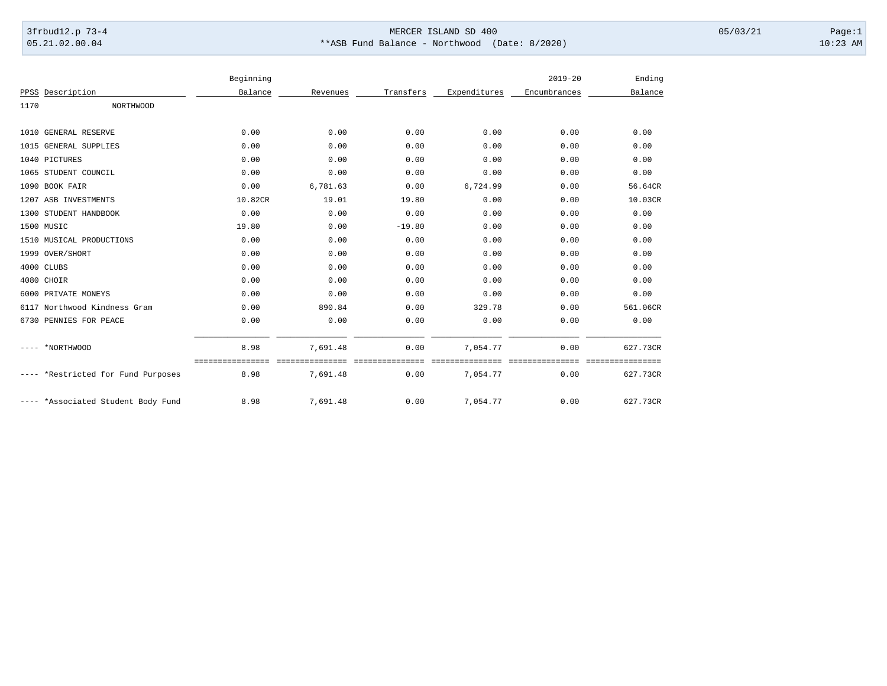## 3frbud12.p 73-4 Page:1 Page:1 05.21.02.00.04 \*\*ASB Fund Balance - Northwood (Date: 8/2020) 10:23 AM

|      |                               | Beginning |          |           |              | $2019 - 20$  | Ending                |
|------|-------------------------------|-----------|----------|-----------|--------------|--------------|-----------------------|
|      | PPSS Description              | Balance   | Revenues | Transfers | Expenditures | Encumbrances | Balance               |
| 1170 | <b>NORTHWOOD</b>              |           |          |           |              |              |                       |
|      | 1010 GENERAL RESERVE          | 0.00      | 0.00     | 0.00      | 0.00         | 0.00         | 0.00                  |
|      | 1015 GENERAL SUPPLIES         | 0.00      | 0.00     | 0.00      | 0.00         | 0.00         | 0.00                  |
|      | 1040 PICTURES                 | 0.00      | 0.00     | 0.00      | 0.00         | 0.00         | 0.00                  |
|      | 1065 STUDENT COUNCIL          | 0.00      | 0.00     | 0.00      | 0.00         | 0.00         | 0.00                  |
|      | 1090 BOOK FAIR                | 0.00      | 6,781.63 | 0.00      | 6,724.99     | 0.00         | 56.64CR               |
|      | 1207 ASB INVESTMENTS          | 10.82CR   | 19.01    | 19.80     | 0.00         | 0.00         | 10.03CR               |
|      | 1300 STUDENT HANDBOOK         | 0.00      | 0.00     | 0.00      | 0.00         | 0.00         | 0.00                  |
|      | 1500 MUSIC                    | 19.80     | 0.00     | $-19.80$  | 0.00         | 0.00         | 0.00                  |
|      | 1510 MUSICAL PRODUCTIONS      | 0.00      | 0.00     | 0.00      | 0.00         | 0.00         | 0.00                  |
|      | 1999 OVER/SHORT               | 0.00      | 0.00     | 0.00      | 0.00         | 0.00         | 0.00                  |
|      | 4000 CLUBS                    | 0.00      | 0.00     | 0.00      | 0.00         | 0.00         | 0.00                  |
|      | 4080 CHOIR                    | 0.00      | 0.00     | 0.00      | 0.00         | 0.00         | 0.00                  |
| 6000 | PRIVATE MONEYS                | 0.00      | 0.00     | 0.00      | 0.00         | 0.00         | 0.00                  |
|      | 6117 Northwood Kindness Gram  | 0.00      | 890.84   | 0.00      | 329.78       | 0.00         | 561.06CR              |
|      | 6730 PENNIES FOR PEACE        | 0.00      | 0.00     | 0.00      | 0.00         | 0.00         | 0.00                  |
|      | *NORTHWOOD                    | 8.98      | 7,691.48 | 0.00      | 7,054.77     | 0.00         | 627.73CR              |
|      | *Restricted for Fund Purposes | 8.98      | 7,691.48 | 0.00      | 7,054.77     | 0.00         | =========<br>627.73CR |
|      | *Associated Student Body Fund | 8.98      | 7,691.48 | 0.00      | 7,054.77     | 0.00         | 627.73CR              |